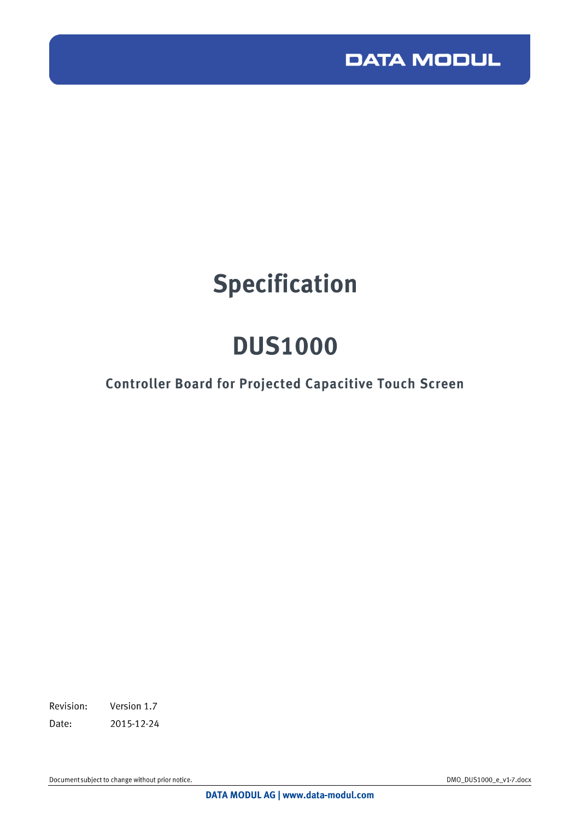

# **Specification**

# **DUS1000**

## **Controller Board for Projected Capacitive Touch Screen**

Revision: Version 1.7 Date: 2015-12-24

Document subject to change without prior notice.

DMO\_DUS1000\_e\_v1-7.docx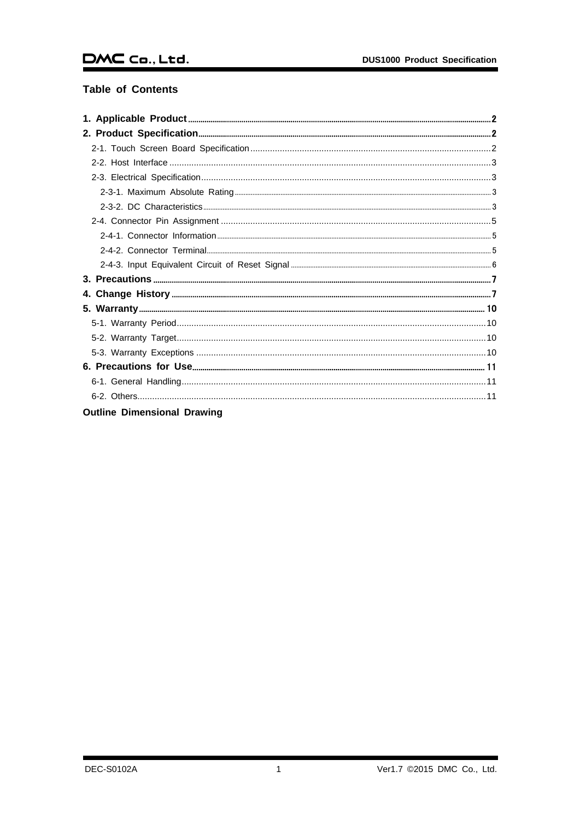### **Table of Contents**

| <b>Outline Dimensional Drawing</b> |
|------------------------------------|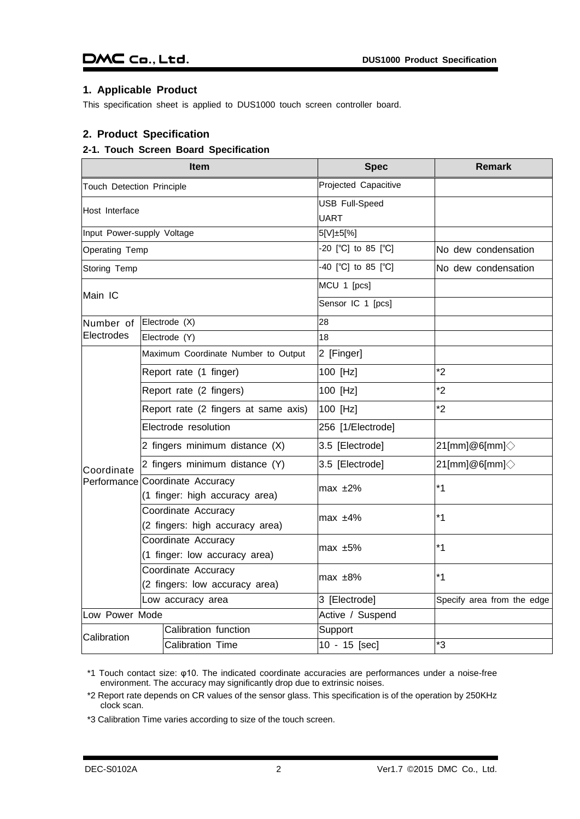### <span id="page-2-0"></span>**1. Applicable Product**

This specification sheet is applied to DUS1000 touch screen controller board.

### <span id="page-2-1"></span>**2. Product Specification**

### <span id="page-2-2"></span>**2-1. Touch Screen Board Specification**

|                            | Item                                                   | <b>Spec</b>                          | <b>Remark</b>                  |
|----------------------------|--------------------------------------------------------|--------------------------------------|--------------------------------|
| Touch Detection Principle  |                                                        | Projected Capacitive                 |                                |
| Host Interface             |                                                        | <b>USB Full-Speed</b><br><b>UART</b> |                                |
| Input Power-supply Voltage |                                                        | 5[V]±5[%]                            |                                |
| Operating Temp             |                                                        | -20 $[°C]$ to 85 $[°C]$              | No dew condensation            |
| Storing Temp               |                                                        | $-40$ [°C] to 85 [°C]                | No dew condensation            |
| Main IC                    |                                                        | MCU 1 [pcs]                          |                                |
|                            |                                                        | Sensor IC 1 [pcs]                    |                                |
| Number of                  | Electrode (X)                                          | 28                                   |                                |
| Electrodes                 | Electrode (Y)                                          | 18                                   |                                |
|                            | Maximum Coordinate Number to Output                    | 2 [Finger]                           |                                |
|                            | Report rate (1 finger)                                 | 100 [Hz]                             | $*2$                           |
|                            | Report rate (2 fingers)                                | 100 [Hz]                             | $*2$                           |
|                            | Report rate (2 fingers at same axis)                   | 100 [Hz]                             | $*2$                           |
|                            | Electrode resolution                                   | 256 [1/Electrode]                    |                                |
|                            | 2 fingers minimum distance (X)                         | 3.5 [Electrode]                      | $21$ [mm]@6[mm] $\diamondsuit$ |
| Coordinate                 | 2 fingers minimum distance (Y)                         | 3.5 [Electrode]                      | $21$ [mm]@6[mm] $\diamondsuit$ |
| Performance                | Coordinate Accuracy<br>(1 finger: high accuracy area)  | max $±2\%$                           | $*1$                           |
|                            | Coordinate Accuracy<br>(2 fingers: high accuracy area) | max $±4%$                            | $*1$                           |
|                            | Coordinate Accuracy<br>(1 finger: low accuracy area)   | max $±5\%$                           | $*1$                           |
|                            | Coordinate Accuracy<br>(2 fingers: low accuracy area)  | $max \pm 8\%$                        | $*1$                           |
| Low accuracy area          |                                                        | 3 [Electrode]                        | Specify area from the edge     |
| Low Power Mode             |                                                        | Active / Suspend                     |                                |
| Calibration                | Calibration function                                   | Support                              |                                |
|                            | <b>Calibration Time</b>                                | 10 - 15 [sec]                        | *3                             |

\*1 Touch contact size: φ10. The indicated coordinate accuracies are performances under a noise-free environment. The accuracy may significantly drop due to extrinsic noises.

\*2 Report rate depends on CR values of the sensor glass. This specification is of the operation by 250KHz clock scan.

\*3 Calibration Time varies according to size of the touch screen.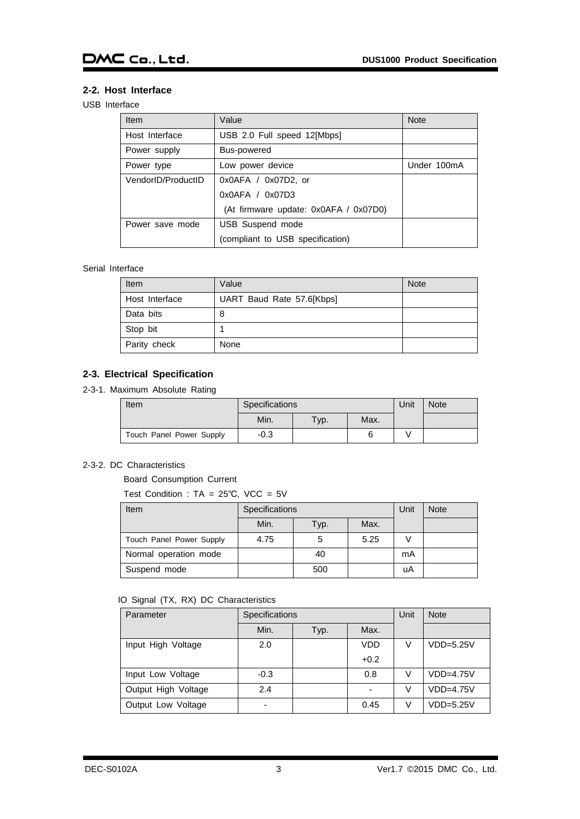### <span id="page-3-0"></span>**2-2. Host Interface**

### USB Interface

| <b>Item</b>        | Value                                 | <b>Note</b> |
|--------------------|---------------------------------------|-------------|
| Host Interface     | USB 2.0 Full speed 12[Mbps]           |             |
| Power supply       | Bus-powered                           |             |
| Power type         | Low power device                      | Under 100mA |
| VendorID/ProductID | $0x0AFA / 0x07D2$ , or                |             |
|                    | 0x0AFA / 0x07D3                       |             |
|                    | (At firmware update: 0x0AFA / 0x07D0) |             |
| Power save mode    | USB Suspend mode                      |             |
|                    | (compliant to USB specification)      |             |

### Serial Interface

| <b>Item</b>    | Value                     | <b>Note</b> |
|----------------|---------------------------|-------------|
| Host Interface | UART Baud Rate 57.6[Kbps] |             |
| Data bits      | 8                         |             |
| Stop bit       |                           |             |
| Parity check   | None                      |             |

### <span id="page-3-1"></span>**2-3. Electrical Specification**

<span id="page-3-2"></span>2-3-1. Maximum Absolute Rating

| Item                     | Specifications |         |      | Unit | Note |
|--------------------------|----------------|---------|------|------|------|
|                          | Min.           | $TVP$ . | Max. |      |      |
| Touch Panel Power Supply | $-0.3$         |         | 6    |      |      |

### <span id="page-3-3"></span>2-3-2. DC Characteristics

Board Consumption Current

Test Condition : TA = 25℃, VCC = 5V

| <b>Item</b>              | Specifications |      |      | Unit | <b>Note</b> |
|--------------------------|----------------|------|------|------|-------------|
|                          | Min.           | Typ. | Max. |      |             |
| Touch Panel Power Supply | 4.75           | 5    | 5.25 |      |             |
| Normal operation mode    |                | 40   |      | mA   |             |
| Suspend mode             |                | 500  |      | uA   |             |

### IO Signal (TX, RX) DC Characteristics

| Parameter           | Specifications |      |                          | Unit | <b>Note</b> |
|---------------------|----------------|------|--------------------------|------|-------------|
|                     | Min.           | Typ. | Max.                     |      |             |
| Input High Voltage  | 2.0            |      | <b>VDD</b>               | V    | $VDD=5.25V$ |
|                     |                |      | $+0.2$                   |      |             |
| Input Low Voltage   | $-0.3$         |      | 0.8                      | V    | $VDD=4.75V$ |
| Output High Voltage | 2.4            |      | $\overline{\phantom{0}}$ | V    | $VDD=4.75V$ |
| Output Low Voltage  |                |      | 0.45                     | V    | $VDD=5.25V$ |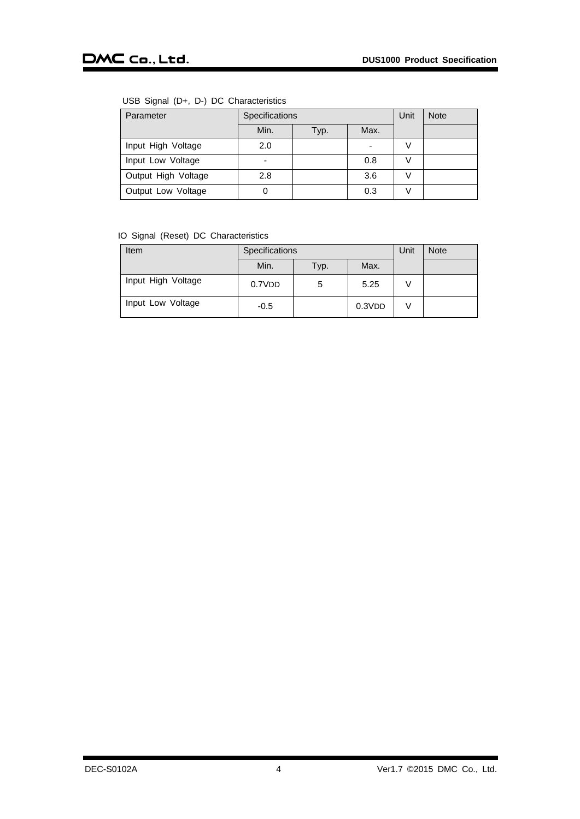### USB Signal (D+, D-) DC Characteristics

| Parameter           | Specifications           |      |      | Unit | <b>Note</b> |
|---------------------|--------------------------|------|------|------|-------------|
|                     | Min.                     | Typ. | Max. |      |             |
| Input High Voltage  | 2.0                      |      | ۰    |      |             |
| Input Low Voltage   | $\overline{\phantom{a}}$ |      | 0.8  |      |             |
| Output High Voltage | 2.8                      |      | 3.6  |      |             |
| Output Low Voltage  | 0                        |      | 0.3  |      |             |

### IO Signal (Reset) DC Characteristics

| Item               | Specifications |      |        | Unit | <b>Note</b> |
|--------------------|----------------|------|--------|------|-------------|
|                    | Min.           | Typ. | Max.   |      |             |
| Input High Voltage | 0.7VDD         | 5    | 5.25   |      |             |
| Input Low Voltage  | $-0.5$         |      | 0.3VDD |      |             |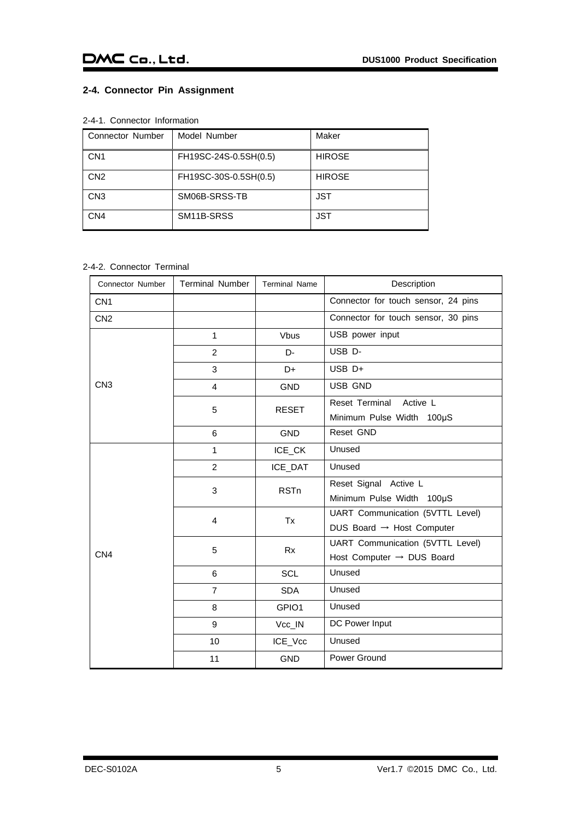### <span id="page-5-0"></span>**2-4. Connector Pin Assignment**

### <span id="page-5-1"></span>2-4-1. Connector Information

| Connector Number | Model Number          | Maker         |
|------------------|-----------------------|---------------|
| CN <sub>1</sub>  | FH19SC-24S-0.5SH(0.5) | <b>HIROSE</b> |
| CN <sub>2</sub>  | FH19SC-30S-0.5SH(0.5) | <b>HIROSE</b> |
| CN <sub>3</sub>  | SM06B-SRSS-TB         | <b>JST</b>    |
| CN4              | SM11B-SRSS            | JST           |

### <span id="page-5-2"></span>2-4-2. Connector Terminal

| <b>Connector Number</b> | <b>Terminal Number</b> | <b>Terminal Name</b> | Description                           |
|-------------------------|------------------------|----------------------|---------------------------------------|
| CN <sub>1</sub>         |                        |                      | Connector for touch sensor, 24 pins   |
| CN <sub>2</sub>         |                        |                      | Connector for touch sensor, 30 pins   |
|                         | $\mathbf{1}$           | <b>Vbus</b>          | USB power input                       |
|                         | 2                      | D-                   | USB D-                                |
|                         | 3                      | D+                   | $USB$ D+                              |
| CN <sub>3</sub>         | 4                      | <b>GND</b>           | <b>USB GND</b>                        |
|                         | 5                      | <b>RESET</b>         | Reset Terminal<br>Active L            |
|                         |                        |                      | Minimum Pulse Width 100µS             |
|                         | 6                      | <b>GND</b>           | Reset GND                             |
|                         | $\mathbf{1}$           | ICE_CK               | Unused                                |
|                         | 2                      | ICE_DAT              | Unused                                |
|                         |                        | <b>RSTn</b>          | Reset Signal Active L                 |
|                         | 3                      |                      | Minimum Pulse Width 100µS             |
|                         | $\overline{4}$         | Tx                   | UART Communication (5VTTL Level)      |
|                         |                        |                      | DUS Board $\rightarrow$ Host Computer |
|                         | 5                      | <b>Rx</b>            | UART Communication (5VTTL Level)      |
| CN <sub>4</sub>         |                        |                      | Host Computer $\rightarrow$ DUS Board |
|                         | 6                      | <b>SCL</b>           | Unused                                |
|                         | $\overline{7}$         | <b>SDA</b>           | Unused                                |
|                         | 8                      | GPIO1                | Unused                                |
|                         | 9                      | Vcc_IN               | DC Power Input                        |
|                         | 10                     | ICE_Vcc              | Unused                                |
|                         | 11                     | <b>GND</b>           | Power Ground                          |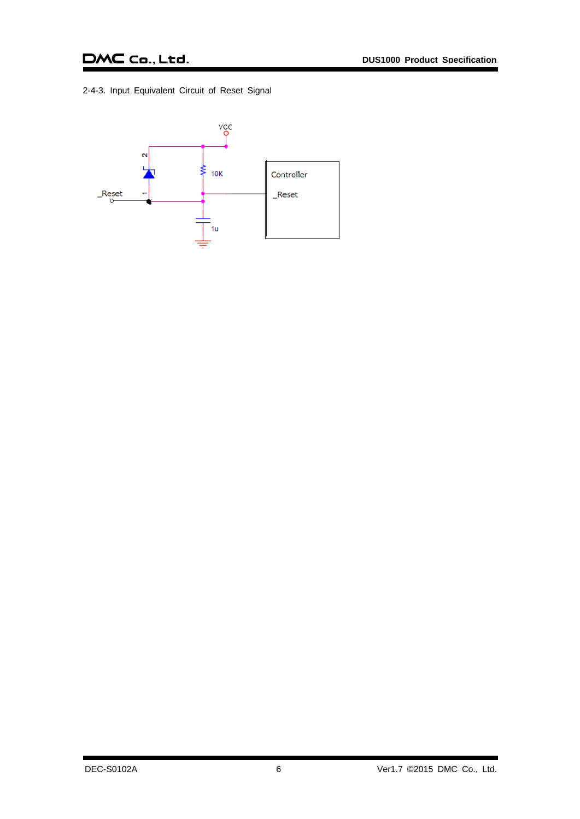### DMC Co., Ltd.

<span id="page-6-0"></span>2-4-3. Input Equivalent Circuit of Reset Signal

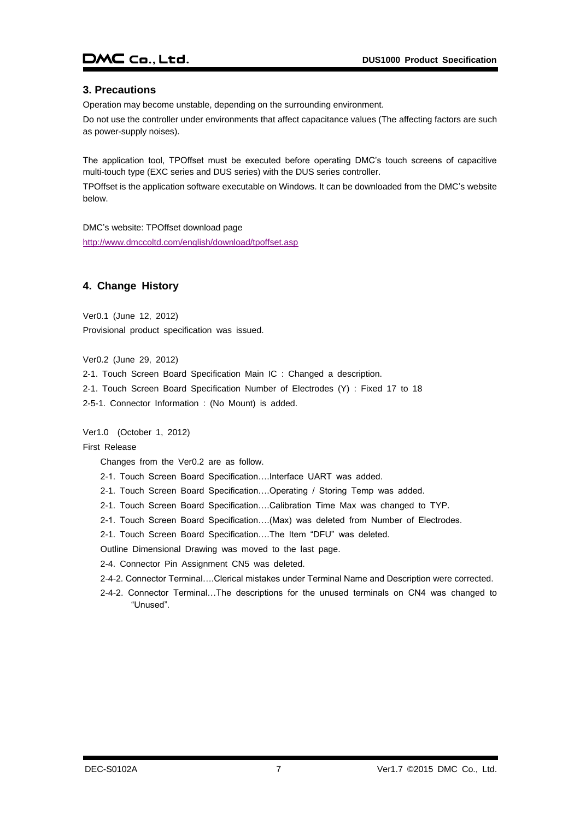### DMC Co., Ltd.

### <span id="page-7-0"></span>**3. Precautions**

Operation may become unstable, depending on the surrounding environment.

Do not use the controller under environments that affect capacitance values (The affecting factors are such as power-supply noises).

The application tool, TPOffset must be executed before operating DMC's touch screens of capacitive multi-touch type (EXC series and DUS series) with the DUS series controller.

TPOffset is the application software executable on Windows. It can be downloaded from the DMC's website below.

DMC's website: TPOffset download page <http://www.dmccoltd.com/english/download/tpoffset.asp>

### <span id="page-7-1"></span>**4. Change History**

Ver0.1 (June 12, 2012) Provisional product specification was issued.

Ver0.2 (June 29, 2012)

2-1. Touch Screen Board Specification Main IC : Changed a description. 2-1. Touch Screen Board Specification Number of Electrodes (Y) : Fixed 17 to 18 2-5-1. Connector Information : (No Mount) is added.

Ver1.0 (October 1, 2012)

#### First Release

Changes from the Ver0.2 are as follow.

2-1. Touch Screen Board Specification….Interface UART was added.

2-1. Touch Screen Board Specification….Operating / Storing Temp was added.

2-1. Touch Screen Board Specification….Calibration Time Max was changed to TYP.

2-1. Touch Screen Board Specification….(Max) was deleted from Number of Electrodes.

2-1. Touch Screen Board Specification….The Item "DFU" was deleted.

Outline Dimensional Drawing was moved to the last page.

2-4. Connector Pin Assignment CN5 was deleted.

- 2-4-2. Connector Terminal….Clerical mistakes under Terminal Name and Description were corrected.
- 2-4-2. Connector Terminal…The descriptions for the unused terminals on CN4 was changed to "Unused".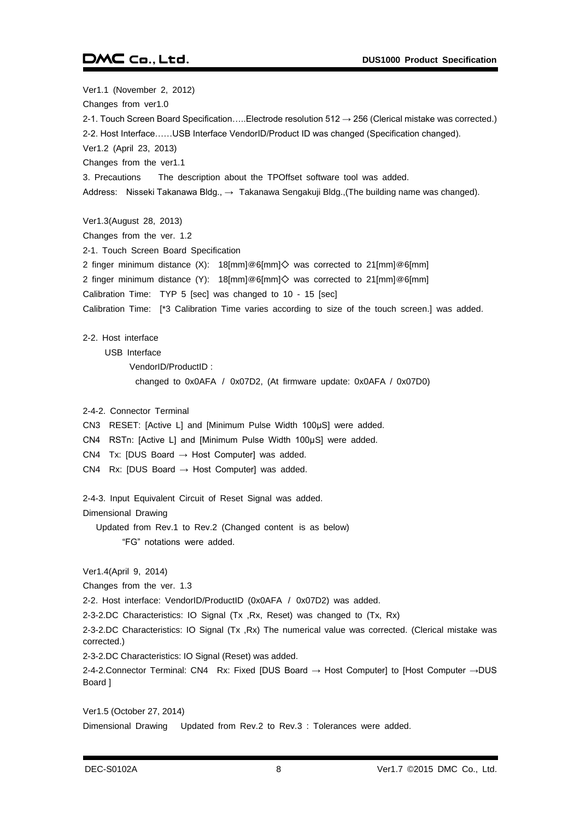### DMC Co., Ltd.

Ver1.1 (November 2, 2012) Changes from ver1.0 2-1. Touch Screen Board Specification.....Electrode resolution 512 → 256 (Clerical mistake was corrected.) 2-2. Host Interface……USB Interface VendorID/Product ID was changed (Specification changed). Ver1.2 (April 23, 2013) Changes from the ver1.1 3. Precautions The description about the TPOffset software tool was added. Address: Nisseki Takanawa Bldg., → Takanawa Sengakuji Bldg., (The building name was changed). Ver1.3(August 28, 2013) Changes from the ver. 1.2 2-1. Touch Screen Board Specification 2 finger minimum distance (X): 18[mm]@6[mm]◇ was corrected to 21[mm]@6[mm] 2 finger minimum distance (Y): 18[mm]@6[mm]◇ was corrected to 21[mm]@6[mm] Calibration Time: TYP 5 [sec] was changed to 10 - 15 [sec] Calibration Time: [\*3 Calibration Time varies according to size of the touch screen.] was added. 2-2. Host interface USB Interface VendorID/ProductID : changed to 0x0AFA / 0x07D2, (At firmware update: 0x0AFA / 0x07D0) 2-4-2. Connector Terminal CN3 RESET: [Active L] and [Minimum Pulse Width 100μS] were added. CN4 RSTn: [Active L] and [Minimum Pulse Width 100μS] were added. CN4 Tx: [DUS Board  $\rightarrow$  Host Computer] was added. CN4 Rx: [DUS Board  $\rightarrow$  Host Computer] was added. 2-4-3. Input Equivalent Circuit of Reset Signal was added. Dimensional Drawing Updated from Rev.1 to Rev.2 (Changed content is as below) "FG" notations were added. Ver1.4(April 9, 2014) Changes from the ver. 1.3 2-2. Host interface: VendorID/ProductID (0x0AFA / 0x07D2) was added. 2-3-2.DC Characteristics: IO Signal (Tx ,Rx, Reset) was changed to (Tx, Rx) 2-3-2.DC Characteristics: IO Signal (Tx ,Rx) The numerical value was corrected. (Clerical mistake was corrected.) 2-3-2.DC Characteristics: IO Signal (Reset) was added. 2-4-2.Connector Terminal: CN4 Rx: Fixed [DUS Board → Host Computer] to [Host Computer →DUS Board ] Ver1.5 (October 27, 2014)

Dimensional Drawing Updated from Rev.2 to Rev.3 : Tolerances were added.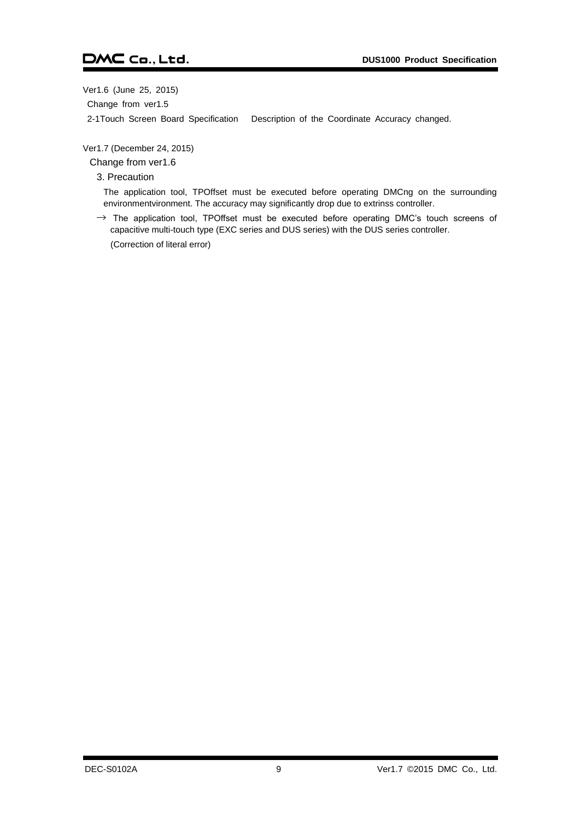Ver1.6 (June 25, 2015)

Change from ver1.5

2-1Touch Screen Board Specification Description of the Coordinate Accuracy changed.

Ver1.7 (December 24, 2015)

Change from ver1.6

3. Precaution

The application tool, TPOffset must be executed before operating DMCng on the surrounding environmentvironment. The accuracy may significantly drop due to extrinss controller.

 $\rightarrow$  The application tool, TPOffset must be executed before operating DMC's touch screens of capacitive multi-touch type (EXC series and DUS series) with the DUS series controller. (Correction of literal error)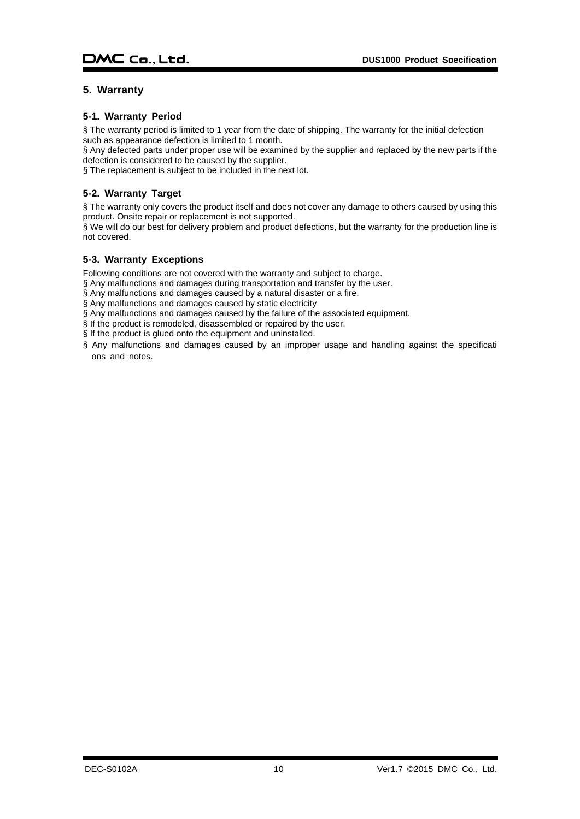### <span id="page-10-0"></span>**5. Warranty**

### <span id="page-10-1"></span>**5-1. Warranty Period**

§ The warranty period is limited to 1 year from the date of shipping. The warranty for the initial defection such as appearance defection is limited to 1 month.

§ Any defected parts under proper use will be examined by the supplier and replaced by the new parts if the defection is considered to be caused by the supplier.

§ The replacement is subject to be included in the next lot.

### <span id="page-10-2"></span>**5-2. Warranty Target**

§ The warranty only covers the product itself and does not cover any damage to others caused by using this product. Onsite repair or replacement is not supported.

§ We will do our best for delivery problem and product defections, but the warranty for the production line is not covered.

### <span id="page-10-3"></span>**5-3. Warranty Exceptions**

Following conditions are not covered with the warranty and subject to charge.

§ Any malfunctions and damages during transportation and transfer by the user.

- § Any malfunctions and damages caused by a natural disaster or a fire.
- § Any malfunctions and damages caused by static electricity
- § Any malfunctions and damages caused by the failure of the associated equipment.
- § If the product is remodeled, disassembled or repaired by the user.
- § If the product is glued onto the equipment and uninstalled.
- § Any malfunctions and damages caused by an improper usage and handling against the specificati ons and notes.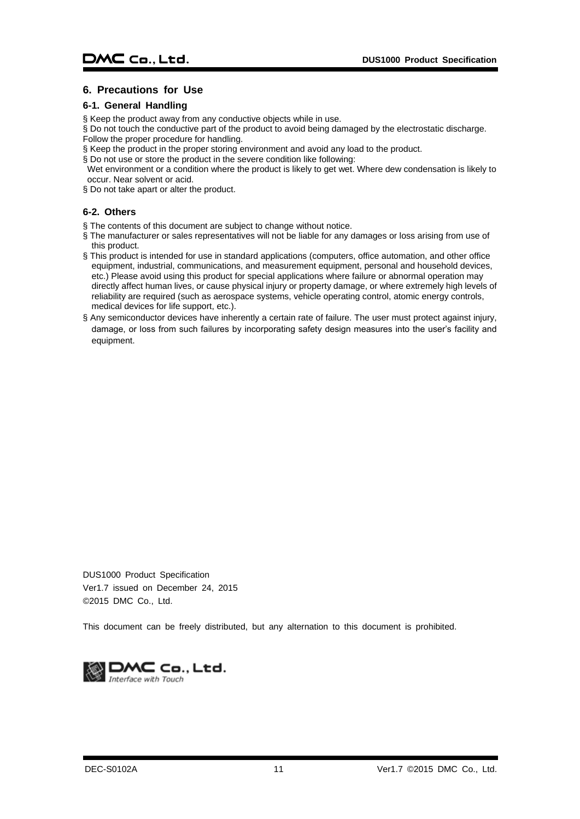### <span id="page-11-0"></span>**6. Precautions for Use**

### <span id="page-11-1"></span>**6-1. General Handling**

- § Keep the product away from any conductive objects while in use.
- § Do not touch the conductive part of the product to avoid being damaged by the electrostatic discharge. Follow the proper procedure for handling.
- § Keep the product in the proper storing environment and avoid any load to the product.
- § Do not use or store the product in the severe condition like following:
- Wet environment or a condition where the product is likely to get wet. Where dew condensation is likely to occur. Near solvent or acid.
- § Do not take apart or alter the product.

### <span id="page-11-2"></span>**6-2. Others**

- § The contents of this document are subject to change without notice.
- § The manufacturer or sales representatives will not be liable for any damages or loss arising from use of this product.
- § This product is intended for use in standard applications (computers, office automation, and other office equipment, industrial, communications, and measurement equipment, personal and household devices, etc.) Please avoid using this product for special applications where failure or abnormal operation may directly affect human lives, or cause physical injury or property damage, or where extremely high levels of reliability are required (such as aerospace systems, vehicle operating control, atomic energy controls, medical devices for life support, etc.).
- § Any semiconductor devices have inherently a certain rate of failure. The user must protect against injury, damage, or loss from such failures by incorporating safety design measures into the user's facility and equipment.

DUS1000 Product Specification Ver1.7 issued on December 24, 2015 ©2015 DMC Co., Ltd.

This document can be freely distributed, but any alternation to this document is prohibited.

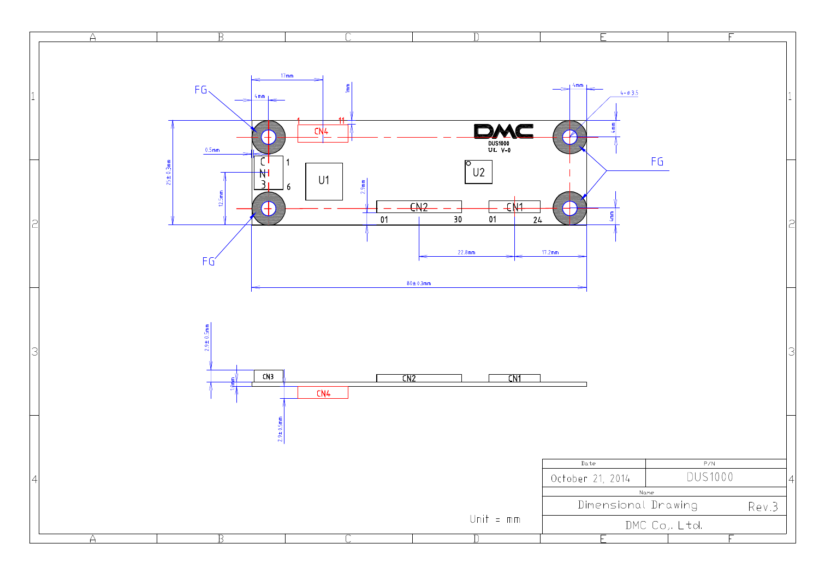